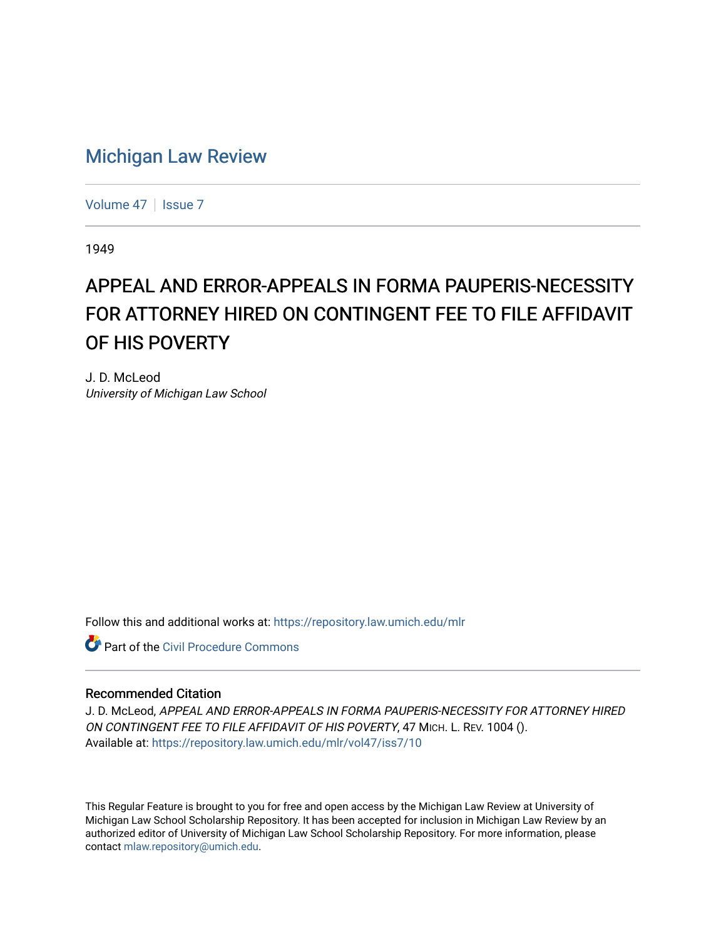## [Michigan Law Review](https://repository.law.umich.edu/mlr)

[Volume 47](https://repository.law.umich.edu/mlr/vol47) | [Issue 7](https://repository.law.umich.edu/mlr/vol47/iss7)

1949

## APPEAL AND ERROR-APPEALS IN FORMA PAUPERIS-NECESSITY FOR ATTORNEY HIRED ON CONTINGENT FEE TO FILE AFFIDAVIT OF HIS POVERTY

J. D. McLeod University of Michigan Law School

Follow this and additional works at: [https://repository.law.umich.edu/mlr](https://repository.law.umich.edu/mlr?utm_source=repository.law.umich.edu%2Fmlr%2Fvol47%2Fiss7%2F10&utm_medium=PDF&utm_campaign=PDFCoverPages) 

**C** Part of the Civil Procedure Commons

## Recommended Citation

J. D. McLeod, APPEAL AND ERROR-APPEALS IN FORMA PAUPERIS-NECESSITY FOR ATTORNEY HIRED ON CONTINGENT FEE TO FILE AFFIDAVIT OF HIS POVERTY, 47 MICH. L. REV. 1004 (). Available at: [https://repository.law.umich.edu/mlr/vol47/iss7/10](https://repository.law.umich.edu/mlr/vol47/iss7/10?utm_source=repository.law.umich.edu%2Fmlr%2Fvol47%2Fiss7%2F10&utm_medium=PDF&utm_campaign=PDFCoverPages) 

This Regular Feature is brought to you for free and open access by the Michigan Law Review at University of Michigan Law School Scholarship Repository. It has been accepted for inclusion in Michigan Law Review by an authorized editor of University of Michigan Law School Scholarship Repository. For more information, please contact [mlaw.repository@umich.edu](mailto:mlaw.repository@umich.edu).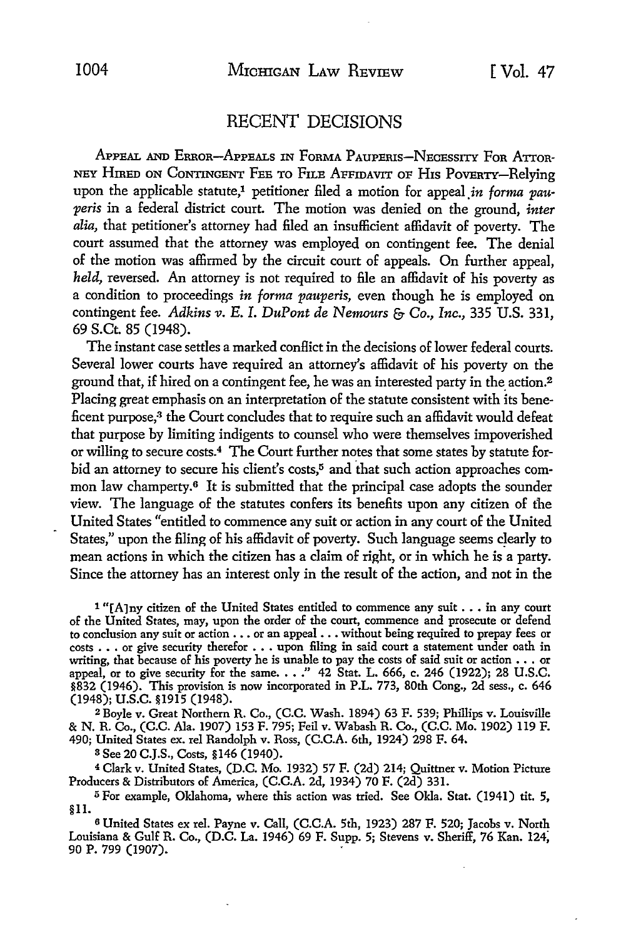## RECENT DECISIONS

APPEAL AND ERROR-APPEALS IN FORMA PAUPERIS-NECESSITY FOR ATTOR-NEY HrnED ON CoNTINGENT FEE TO FILE AFFIDAVIT OF HIS POVERTY-Relying upon the applicable statute,<sup>1</sup> petitioner filed a motion for appeal in *forma pauperis* in a federal district court. The motion was denied on the ground, *inter alia,* that petitioner's attorney had filed an insufficient affidavit of poverty. The court assumed that the attorney was employed on contingent fee. The denial of the motion was affirmed by the circuit court of appeals. On further appeal, held, reversed. An attorney is not required to file an affidavit of his poverty as a condition to proceedings *in forma pauperis,* even though he is employed on contingent fee. *Adkins v. E.* I. *DuPont de Nemours* & Co., *Inc.,* 335 U.S. 331, 69 S.Ct. 85 (1948).

The instant case settles a marked conflict in the decisions of lower federal courts. Several lower courts have required an attorney's affidavit of his poverty on the ground that, if hired on a contingent fee, he was an interested party in the action.<sup>2</sup> Placing great emphasis on an interpretation of the statute consistent with its beneficent purpose,<sup>3</sup> the Court concludes that to require such an affidavit would defeat that purpose by limiting indigents to counsel who were themselves impoverished or willing to secure costs.4 The Court further notes that some states by statute forbid an attorney to secure his client's costs,<sup>5</sup> and that such action approaches common law champerty.<sup>6</sup> It is submitted that the principal case adopts the sounder view. The language of the statutes confers its benefits upon any citizen of fhe United States "entitled *to* commence any suit or action in any court of the United States," upon the filing of his affidavit of poverty. Such language seems clearly to mean actions in which the citizen has a claim of right, or in which he is a party. Since the attorney has an interest only in the result of the action, and not in the

l "[A]ny citizen of the United States entitled to commence any suit ..• in any court of the United States, may, upon the order of the court, commence and prosecute or defend to conclusion any suit or action •.. or an appeal •.• without being required to prepay fees or costs .•• or give security therefor .•. upon filing in said court a statement under oath in writing, that because of his poverty he is unable to pay the costs of said suit or action  $\ldots$  or appeal, or to give security for the same.  $\ldots$ " 42 Stat. L. 666, c. 246 (1922); 28 U.S.C. §832 (1946). This provision is now incorporated in P.L. 773, 80th Cong., 2d sess., c. 646 (1948); u.s.c. §1915 (1948).

<sup>2</sup>Boyle v. Great Northern R. Co., (C.C. Wash. 1894) 63 F. 539; Phillips v. Louisville & N. R. Co., (C.C. Ala. 1907) 153 F. 795; Feil v. Wabash R. Co., (C.C. Mo. 1902) ll9 F. 490; United States ex. rel Randolph v. Ross, (C.C.A. 6th, 1924) 298 F. 64.

s See 20 C.J.S., Costs, §146 (1940).

<sup>4</sup>Clark v. United States, (D.C. Mo. 1932) 57 F. (2d) 214; Quittner v. Motion Picture Producers & Distributors of America, (C.C.A. 2d, 1934) 70 F. (2d) 331.

<sup>5</sup> For example, Oklahoma, where this action was tried. See Okla. Stat. (1941) tit. 5, §II.

<sup>6</sup>United States ex rel. Payne v. Call, (C.C.A. 5th, 1923) 287 F. 520; Jacobs v. North Louisiana & Gulf R. Co., (D.C. La. 1946) 69 F. Supp. 5; Stevens v. Sheriff, 76 Kan. 124; 90 P. 799 (1907).